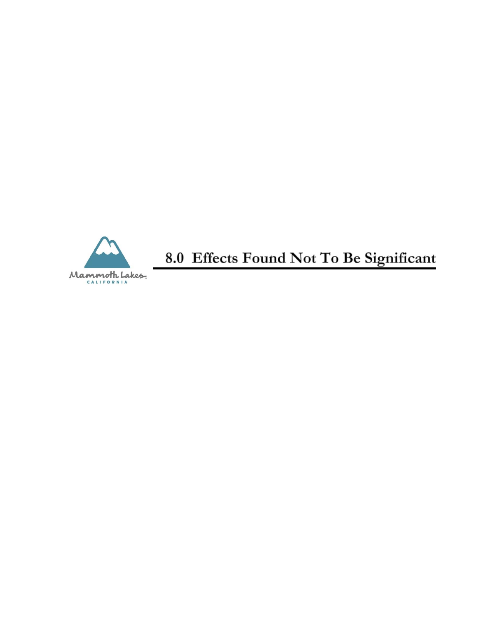

8.0 Effects Found Not To Be Significant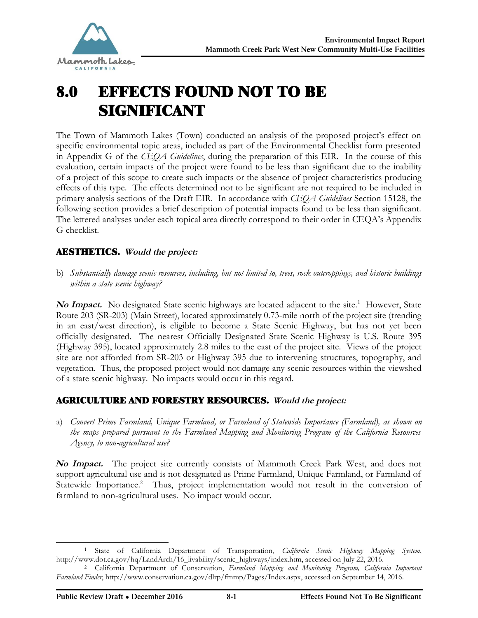

# 8.0 EFFECTS FOUND NOT TO BE SIGNIFICANT

The Town of Mammoth Lakes (Town) conducted an analysis of the proposed project's effect on specific environmental topic areas, included as part of the Environmental Checklist form presented in Appendix G of the *CEQA Guidelines*, during the preparation of this EIR. In the course of this evaluation, certain impacts of the project were found to be less than significant due to the inability of a project of this scope to create such impacts or the absence of project characteristics producing effects of this type. The effects determined not to be significant are not required to be included in primary analysis sections of the Draft EIR. In accordance with *CEQA Guidelines* Section 15128, the following section provides a brief description of potential impacts found to be less than significant. The lettered analyses under each topical area directly correspond to their order in CEQA's Appendix G checklist.

# AESTHETICS. **Would the project:**

b) *Substantially damage scenic resources, including, but not limited to, trees, rock outcroppings, and historic buildings within a state scenic highway?*

No Impact. No designated State scenic highways are located adjacent to the site.<sup>1</sup> However, State Route 203 (SR-203) (Main Street), located approximately 0.73-mile north of the project site (trending in an east/west direction), is eligible to become a State Scenic Highway, but has not yet been officially designated. The nearest Officially Designated State Scenic Highway is U.S. Route 395 (Highway 395), located approximately 2.8 miles to the east of the project site. Views of the project site are not afforded from SR-203 or Highway 395 due to intervening structures, topography, and vegetation. Thus, the proposed project would not damage any scenic resources within the viewshed of a state scenic highway. No impacts would occur in this regard.

# AGRICULTURE AND FORESTRY RESOURCES. **Would the project:**

a) *Convert Prime Farmland, Unique Farmland, or Farmland of Statewide Importance (Farmland), as shown on the maps prepared pursuant to the Farmland Mapping and Monitoring Program of the California Resources Agency, to non-agricultural use?*

**No Impact.** The project site currently consists of Mammoth Creek Park West, and does not support agricultural use and is not designated as Prime Farmland, Unique Farmland, or Farmland of Statewide Importance.<sup>2</sup> Thus, project implementation would not result in the conversion of farmland to non-agricultural uses. No impact would occur.

<sup>-</sup><sup>1</sup> State of California Department of Transportation, *California Scenic Highway Mapping System*, [http://www.dot.ca.gov/hq/LandArch/16\\_livability/scenic\\_highways/index.htm](http://www.dot.ca.gov/hq/LandArch/16_livability/scenic_highways/index.htm), accessed on July 22, 2016.

<sup>2</sup> California Department of Conservation, *Farmland Mapping and Monitoring Program, California Important Farmland Finder*, <http://www.conservation.ca.gov/dlrp/fmmp/Pages/Index.aspx, accessed on September 14, 2016.>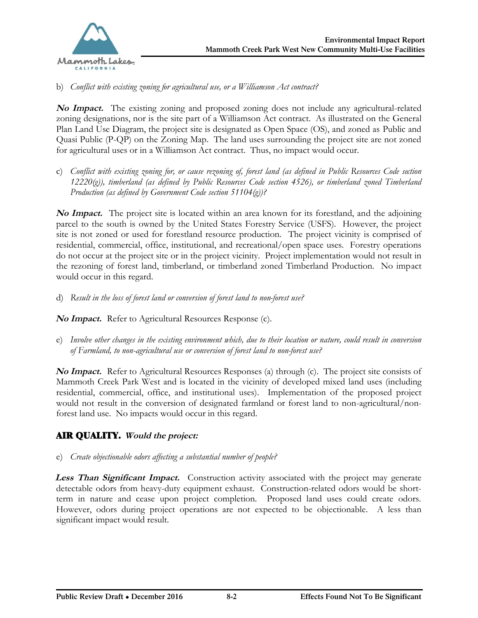

#### b) *Conflict with existing zoning for agricultural use, or a Williamson Act contract?*

**No Impact.** The existing zoning and proposed zoning does not include any agricultural-related zoning designations, nor is the site part of a Williamson Act contract. As illustrated on the General Plan Land Use Diagram, the project site is designated as Open Space (OS), and zoned as Public and Quasi Public (P-QP) on the Zoning Map. The land uses surrounding the project site are not zoned for agricultural uses or in a Williamson Act contract. Thus, no impact would occur.

c) *Conflict with existing zoning for, or cause rezoning of, forest land (as defined in Public Resources Code section 12220(g)), timberland (as defined by Public Resources Code section 4526), or timberland zoned Timberland Production (as defined by Government Code section 51104(g))?*

**No Impact.** The project site is located within an area known for its forestland, and the adjoining parcel to the south is owned by the United States Forestry Service (USFS). However, the project site is not zoned or used for forestland resource production. The project vicinity is comprised of residential, commercial, office, institutional, and recreational/open space uses. Forestry operations do not occur at the project site or in the project vicinity. Project implementation would not result in the rezoning of forest land, timberland, or timberland zoned Timberland Production. No impact would occur in this regard.

d) *Result in the loss of forest land or conversion of forest land to non-forest use?*

**No Impact.** Refer to Agricultural Resources Response (c).

e) *Involve other changes in the existing environment which, due to their location or nature, could result in conversion of Farmland, to non-agricultural use or conversion of forest land to non-forest use?*

**No Impact.** Refer to Agricultural Resources Responses (a) through (c). The project site consists of Mammoth Creek Park West and is located in the vicinity of developed mixed land uses (including residential, commercial, office, and institutional uses). Implementation of the proposed project would not result in the conversion of designated farmland or forest land to non-agricultural/nonforest land use. No impacts would occur in this regard.

# AIR QUALITY. **Would the project:**

#### e) *Create objectionable odors affecting a substantial number of people?*

**Less Than Significant Impact.** Construction activity associated with the project may generate detectable odors from heavy-duty equipment exhaust. Construction-related odors would be shortterm in nature and cease upon project completion. Proposed land uses could create odors. However, odors during project operations are not expected to be objectionable. A less than significant impact would result.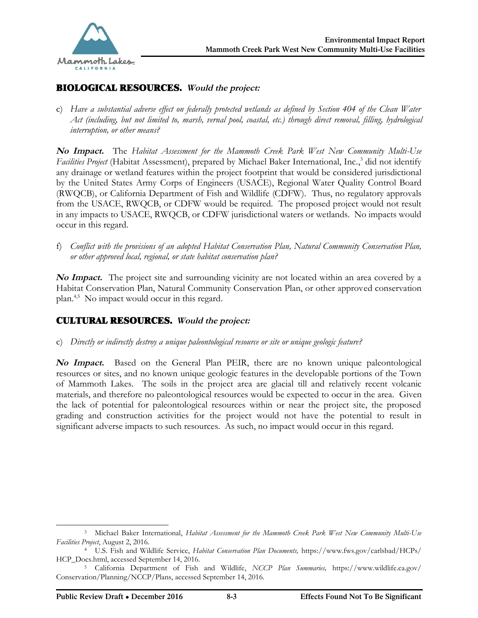

# BIOLOGICAL RESOURCES. **Would the project:**

c) *Have a substantial adverse effect on federally protected wetlands as defined by Section 404 of the Clean Water Act (including, but not limited to, marsh, vernal pool, coastal, etc.) through direct removal, filling, hydrological interruption, or other means?*

**No Impact.** The *Habitat Assessment for the Mammoth Creek Park West New Community Multi-Use Facilities Project* (Habitat Assessment), prepared by Michael Baker International, Inc., 3 did not identify any drainage or wetland features within the project footprint that would be considered jurisdictional by the United States Army Corps of Engineers (USACE), Regional Water Quality Control Board (RWQCB), or California Department of Fish and Wildlife (CDFW). Thus, no regulatory approvals from the USACE, RWQCB, or CDFW would be required. The proposed project would not result in any impacts to USACE, RWQCB, or CDFW jurisdictional waters or wetlands. No impacts would occur in this regard.

f) *Conflict with the provisions of an adopted Habitat Conservation Plan, Natural Community Conservation Plan, or other approved local, regional, or state habitat conservation plan?*

**No Impact.** The project site and surrounding vicinity are not located within an area covered by a Habitat Conservation Plan, Natural Community Conservation Plan, or other approved conservation plan.4,5 No impact would occur in this regard.

## CULTURAL RESOURCES. **Would the project:**

c) *Directly or indirectly destroy a unique paleontological resource or site or unique geologic feature?*

**No Impact.** Based on the General Plan PEIR, there are no known unique paleontological resources or sites, and no known unique geologic features in the developable portions of the Town of Mammoth Lakes. The soils in the project area are glacial till and relatively recent volcanic materials, and therefore no paleontological resources would be expected to occur in the area. Given the lack of potential for paleontological resources within or near the project site, the proposed grading and construction activities for the project would not have the potential to result in significant adverse impacts to such resources. As such, no impact would occur in this regard.

-

<sup>3</sup> Michael Baker International, *Habitat Assessment for the Mammoth Creek Park West New Community Multi-Use Facilities Project*, August 2, 2016.

<sup>4</sup> U.S. Fish and Wildlife Service, *Habitat Conservation Plan Documents,* [https://www.fws.gov/carlsbad/HCPs/](https://www.fws.gov/carlsbad/HCPs/ ) HCP\_Docs.html, accessed September 14, 2016.

<sup>5</sup> California Department of Fish and Wildlife, *NCCP Plan Summaries,* [https://www.wildlife.ca.gov/](https://www.wildlife.ca.gov/ ) Conservation/Planning/NCCP/Plans, accessed September 14, 2016.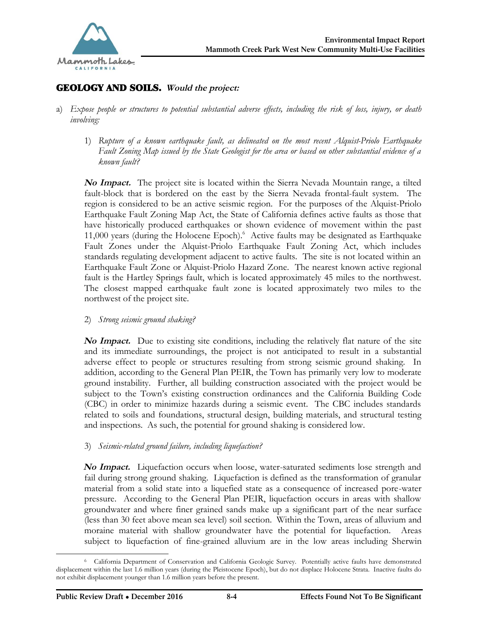

# GEOLOGY AND SOILS. **Would the project:**

- a) *Expose people or structures to potential substantial adverse effects, including the risk of loss, injury, or death involving:*
	- 1) *Rupture of a known earthquake fault, as delineated on the most recent Alquist-Priolo Earthquake Fault Zoning Map issued by the State Geologist for the area or based on other substantial evidence of a known fault?*

**No Impact.** The project site is located within the Sierra Nevada Mountain range, a tilted fault-block that is bordered on the east by the Sierra Nevada frontal-fault system. The region is considered to be an active seismic region. For the purposes of the Alquist-Priolo Earthquake Fault Zoning Map Act, the State of California defines active faults as those that have historically produced earthquakes or shown evidence of movement within the past 11,000 years (during the Holocene Epoch).<sup>6</sup> Active faults may be designated as Earthquake Fault Zones under the Alquist-Priolo Earthquake Fault Zoning Act, which includes standards regulating development adjacent to active faults. The site is not located within an Earthquake Fault Zone or Alquist-Priolo Hazard Zone. The nearest known active regional fault is the Hartley Springs fault, which is located approximately 45 miles to the northwest. The closest mapped earthquake fault zone is located approximately two miles to the northwest of the project site.

2) *Strong seismic ground shaking?*

**No Impact.** Due to existing site conditions, including the relatively flat nature of the site and its immediate surroundings, the project is not anticipated to result in a substantial adverse effect to people or structures resulting from strong seismic ground shaking. In addition, according to the General Plan PEIR, the Town has primarily very low to moderate ground instability. Further, all building construction associated with the project would be subject to the Town's existing construction ordinances and the California Building Code (CBC) in order to minimize hazards during a seismic event. The CBC includes standards related to soils and foundations, structural design, building materials, and structural testing and inspections. As such, the potential for ground shaking is considered low.

3) *Seismic-related ground failure, including liquefaction?*

**No Impact.** Liquefaction occurs when loose, water-saturated sediments lose strength and fail during strong ground shaking. Liquefaction is defined as the transformation of granular material from a solid state into a liquefied state as a consequence of increased pore-water pressure. According to the General Plan PEIR, liquefaction occurs in areas with shallow groundwater and where finer grained sands make up a significant part of the near surface (less than 30 feet above mean sea level) soil section. Within the Town, areas of alluvium and moraine material with shallow groundwater have the potential for liquefaction. Areas subject to liquefaction of fine-grained alluvium are in the low areas including Sherwin

<sup>-</sup><sup>6</sup> California Department of Conservation and California Geologic Survey. Potentially active faults have demonstrated displacement within the last 1.6 million years (during the Pleistocene Epoch), but do not displace Holocene Strata. Inactive faults do not exhibit displacement younger than 1.6 million years before the present.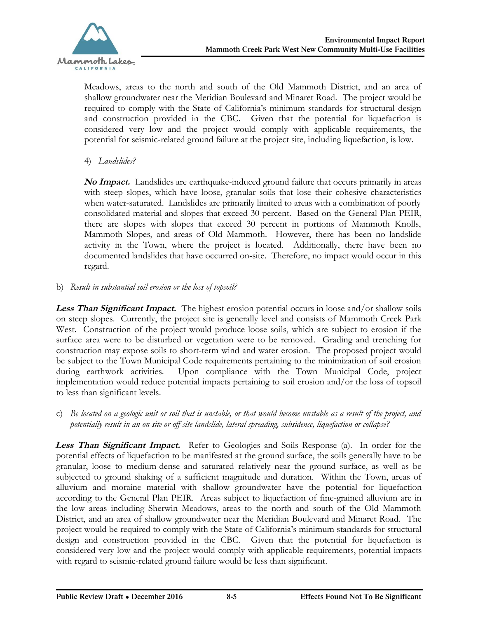Meadows, areas to the north and south of the Old Mammoth District, and an area of shallow groundwater near the Meridian Boulevard and Minaret Road. The project would be required to comply with the State of California's minimum standards for structural design and construction provided in the CBC. Given that the potential for liquefaction is considered very low and the project would comply with applicable requirements, the potential for seismic-related ground failure at the project site, including liquefaction, is low.

4) *Landslides?*

**No Impact.** Landslides are earthquake-induced ground failure that occurs primarily in areas with steep slopes, which have loose, granular soils that lose their cohesive characteristics when water-saturated. Landslides are primarily limited to areas with a combination of poorly consolidated material and slopes that exceed 30 percent. Based on the General Plan PEIR, there are slopes with slopes that exceed 30 percent in portions of Mammoth Knolls, Mammoth Slopes, and areas of Old Mammoth. However, there has been no landslide activity in the Town, where the project is located. Additionally, there have been no documented landslides that have occurred on-site. Therefore, no impact would occur in this regard.

b) *Result in substantial soil erosion or the loss of topsoil?*

**Less Than Significant Impact.** The highest erosion potential occurs in loose and/or shallow soils on steep slopes. Currently, the project site is generally level and consists of Mammoth Creek Park West. Construction of the project would produce loose soils, which are subject to erosion if the surface area were to be disturbed or vegetation were to be removed. Grading and trenching for construction may expose soils to short-term wind and water erosion. The proposed project would be subject to the Town Municipal Code requirements pertaining to the minimization of soil erosion during earthwork activities. Upon compliance with the Town Municipal Code, project implementation would reduce potential impacts pertaining to soil erosion and/or the loss of topsoil to less than significant levels.

c) *Be located on a geologic unit or soil that is unstable, or that would become unstable as a result of the project, and potentially result in an on-site or off-site landslide, lateral spreading, subsidence, liquefaction or collapse?*

**Less Than Significant Impact.** Refer to Geologies and Soils Response (a). In order for the potential effects of liquefaction to be manifested at the ground surface, the soils generally have to be granular, loose to medium-dense and saturated relatively near the ground surface, as well as be subjected to ground shaking of a sufficient magnitude and duration. Within the Town, areas of alluvium and moraine material with shallow groundwater have the potential for liquefaction according to the General Plan PEIR. Areas subject to liquefaction of fine-grained alluvium are in the low areas including Sherwin Meadows, areas to the north and south of the Old Mammoth District, and an area of shallow groundwater near the Meridian Boulevard and Minaret Road. The project would be required to comply with the State of California's minimum standards for structural design and construction provided in the CBC. Given that the potential for liquefaction is considered very low and the project would comply with applicable requirements, potential impacts with regard to seismic-related ground failure would be less than significant.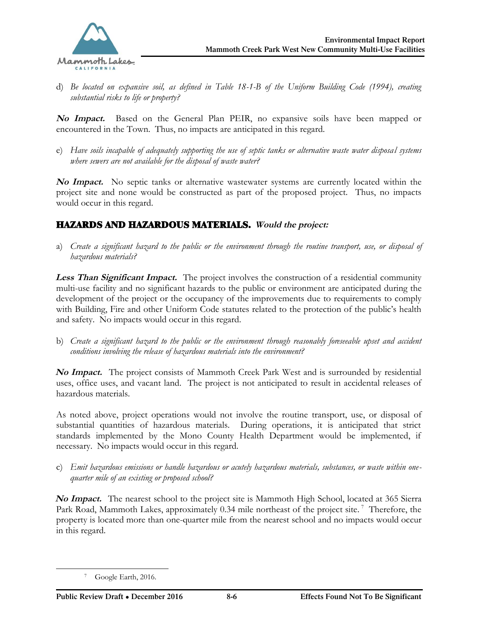

d) *Be located on expansive soil, as defined in Table 18-1-B of the Uniform Building Code (1994), creating substantial risks to life or property?*

**No Impact.** Based on the General Plan PEIR, no expansive soils have been mapped or encountered in the Town. Thus, no impacts are anticipated in this regard.

e) *Have soils incapable of adequately supporting the use of septic tanks or alternative waste water disposal systems where sewers are not available for the disposal of waste water?*

**No Impact.** No septic tanks or alternative wastewater systems are currently located within the project site and none would be constructed as part of the proposed project. Thus, no impacts would occur in this regard.

# HAZARDS AND HAZARDOUS MATERIALS. **Would the project:**

a) *Create a significant hazard to the public or the environment through the routine transport, use, or disposal of hazardous materials?*

**Less Than Significant Impact.** The project involves the construction of a residential community multi-use facility and no significant hazards to the public or environment are anticipated during the development of the project or the occupancy of the improvements due to requirements to comply with Building, Fire and other Uniform Code statutes related to the protection of the public's health and safety. No impacts would occur in this regard.

b) *Create a significant hazard to the public or the environment through reasonably foreseeable upset and accident conditions involving the release of hazardous materials into the environment?*

**No Impact.** The project consists of Mammoth Creek Park West and is surrounded by residential uses, office uses, and vacant land. The project is not anticipated to result in accidental releases of hazardous materials.

As noted above, project operations would not involve the routine transport, use, or disposal of substantial quantities of hazardous materials. During operations, it is anticipated that strict standards implemented by the Mono County Health Department would be implemented, if necessary. No impacts would occur in this regard.

c) *Emit hazardous emissions or handle hazardous or acutely hazardous materials, substances, or waste within onequarter mile of an existing or proposed school?*

**No Impact.** The nearest school to the project site is Mammoth High School, located at 365 Sierra Park Road, Mammoth Lakes, approximately 0.34 mile northeast of the project site.<sup>7</sup> Therefore, the property is located more than one-quarter mile from the nearest school and no impacts would occur in this regard.

 $\overline{a}$ 

Google Earth, 2016.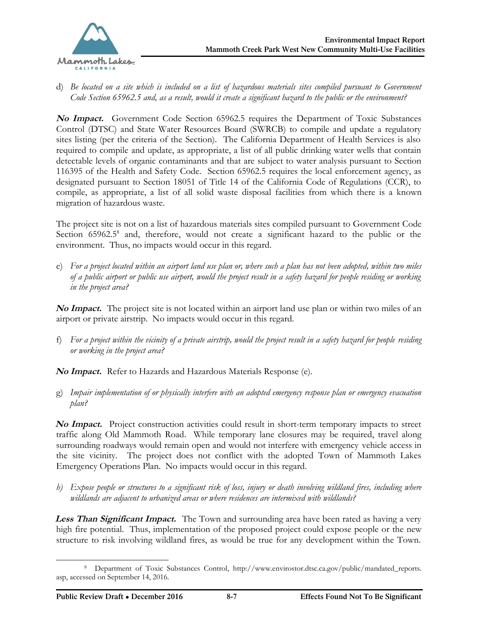

d) *Be located on a site which is included on a list of hazardous materials sites compiled pursuant to Government Code Section 65962.5 and, as a result, would it create a significant hazard to the public or the environment?*

**No Impact.** Government Code Section 65962.5 requires the Department of Toxic Substances Control (DTSC) and State Water Resources Board (SWRCB) to compile and update a regulatory sites listing (per the criteria of the Section). The California Department of Health Services is also required to compile and update, as appropriate, a list of all public drinking water wells that contain detectable levels of organic contaminants and that are subject to water analysis pursuant to Section 116395 of the Health and Safety Code. Section 65962.5 requires the local enforcement agency, as designated pursuant to Section 18051 of Title 14 of the California Code of Regulations (CCR), to compile, as appropriate, a list of all solid waste disposal facilities from which there is a known migration of hazardous waste.

The project site is not on a list of hazardous materials sites compiled pursuant to Government Code Section 65962.5<sup>8</sup> and, therefore, would not create a significant hazard to the public or the environment. Thus, no impacts would occur in this regard.

e) *For a project located within an airport land use plan or, where such a plan has not been adopted, within two miles of a public airport or public use airport, would the project result in a safety hazard for people residing or working in the project area?*

**No Impact.** The project site is not located within an airport land use plan or within two miles of an airport or private airstrip. No impacts would occur in this regard.

f) *For a project within the vicinity of a private airstrip, would the project result in a safety hazard for people residing or working in the project area?*

**No Impact.** Refer to Hazards and Hazardous Materials Response (e).

g) *Impair implementation of or physically interfere with an adopted emergency response plan or emergency evacuation plan?*

**No Impact.** Project construction activities could result in short-term temporary impacts to street traffic along Old Mammoth Road. While temporary lane closures may be required, travel along surrounding roadways would remain open and would not interfere with emergency vehicle access in the site vicinity. The project does not conflict with the adopted Town of Mammoth Lakes Emergency Operations Plan. No impacts would occur in this regard.

*h) Expose people or structures to a significant risk of loss, injury or death involving wildland fires, including where wildlands are adjacent to urbanized areas or where residences are intermixed with wildlands?*

**Less Than Significant Impact.** The Town and surrounding area have been rated as having a very high fire potential. Thus, implementation of the proposed project could expose people or the new structure to risk involving wildland fires, as would be true for any development within the Town.

<sup>8</sup> Department of Toxic Substances Control, [http://www.envirostor.dtsc.ca.gov/public/mandated\\_reports.](http://www.envirostor.dtsc.ca.gov/public/mandated_reports. ) asp, accessed on September 14, 2016.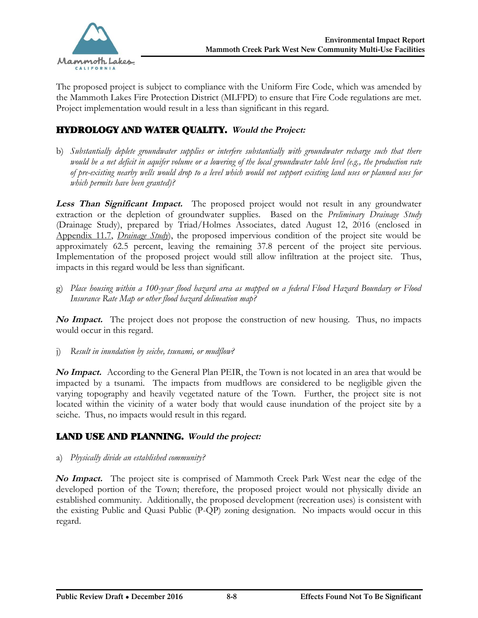

The proposed project is subject to compliance with the Uniform Fire Code, which was amended by the Mammoth Lakes Fire Protection District (MLFPD) to ensure that Fire Code regulations are met. Project implementation would result in a less than significant in this regard.

# HYDROLOGY AND WATER QUALITY. **Would the Project:**

b) *Substantially deplete groundwater supplies or interfere substantially with groundwater recharge such that there would be a net deficit in aquifer volume or a lowering of the local groundwater table level (e.g., the production rate of pre-existing nearby wells would drop to a level which would not support existing land uses or planned uses for which permits have been granted)?*

**Less Than Significant Impact.** The proposed project would not result in any groundwater extraction or the depletion of groundwater supplies. Based on the *Preliminary Drainage Study* (Drainage Study), prepared by Triad/Holmes Associates, dated August 12, 2016 (enclosed in Appendix 11.7, *Drainage Study*), the proposed impervious condition of the project site would be approximately 62.5 percent, leaving the remaining 37.8 percent of the project site pervious. Implementation of the proposed project would still allow infiltration at the project site. Thus, impacts in this regard would be less than significant.

g) *Place housing within a 100-year flood hazard area as mapped on a federal Flood Hazard Boundary or Flood Insurance Rate Map or other flood hazard delineation map?*

**No Impact.** The project does not propose the construction of new housing. Thus, no impacts would occur in this regard.

j) *Result in inundation by seiche, tsunami, or mudflow?*

**No Impact.** According to the General Plan PEIR, the Town is not located in an area that would be impacted by a tsunami. The impacts from mudflows are considered to be negligible given the varying topography and heavily vegetated nature of the Town. Further, the project site is not located within the vicinity of a water body that would cause inundation of the project site by a seiche. Thus, no impacts would result in this regard.

## LAND USE AND PLANNING. **Would the project:**

#### a) *Physically divide an established community?*

**No Impact.** The project site is comprised of Mammoth Creek Park West near the edge of the developed portion of the Town; therefore, the proposed project would not physically divide an established community. Additionally, the proposed development (recreation uses) is consistent with the existing Public and Quasi Public (P-QP) zoning designation. No impacts would occur in this regard.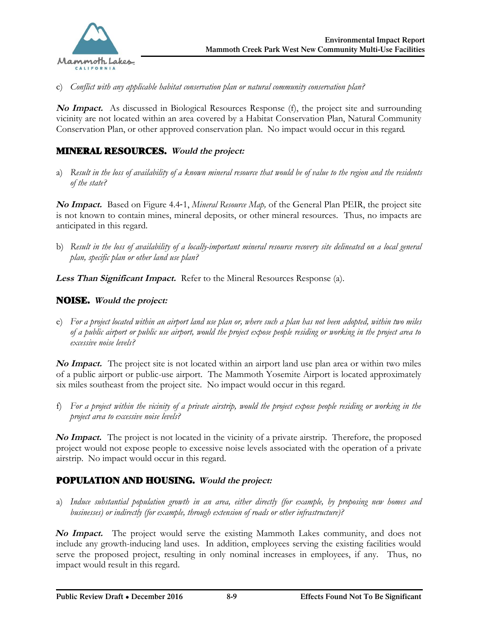

c) *Conflict with any applicable habitat conservation plan or natural community conservation plan?*

**No Impact.** As discussed in Biological Resources Response (f), the project site and surrounding vicinity are not located within an area covered by a Habitat Conservation Plan, Natural Community Conservation Plan, or other approved conservation plan. No impact would occur in this regard.

# MINERAL RESOURCES. **Would the project:**

a) *Result in the loss of availability of a known mineral resource that would be of value to the region and the residents of the state?*

**No Impact.** Based on Figure 4.4‐1, *Mineral Resource Map,* of the General Plan PEIR, the project site is not known to contain mines, mineral deposits, or other mineral resources. Thus, no impacts are anticipated in this regard.

b) *Result in the loss of availability of a locally-important mineral resource recovery site delineated on a local general plan, specific plan or other land use plan?*

**Less Than Significant Impact.** Refer to the Mineral Resources Response (a).

## NOISE. **Would the project:**

e) *For a project located within an airport land use plan or, where such a plan has not been adopted, within two miles of a public airport or public use airport, would the project expose people residing or working in the project area to excessive noise levels?*

**No Impact.** The project site is not located within an airport land use plan area or within two miles of a public airport or public-use airport. The Mammoth Yosemite Airport is located approximately six miles southeast from the project site. No impact would occur in this regard.

f) *For a project within the vicinity of a private airstrip, would the project expose people residing or working in the project area to excessive noise levels?*

**No Impact.** The project is not located in the vicinity of a private airstrip. Therefore, the proposed project would not expose people to excessive noise levels associated with the operation of a private airstrip. No impact would occur in this regard.

## POPULATION AND HOUSING. **Would the project:**

a) *Induce substantial population growth in an area, either directly (for example, by proposing new homes and businesses) or indirectly (for example, through extension of roads or other infrastructure)?*

**No Impact.** The project would serve the existing Mammoth Lakes community, and does not include any growth-inducing land uses. In addition, employees serving the existing facilities would serve the proposed project, resulting in only nominal increases in employees, if any. Thus, no impact would result in this regard.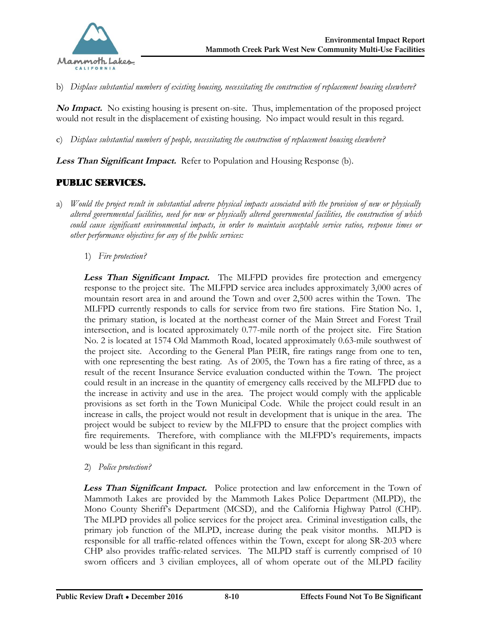

b) *Displace substantial numbers of existing housing, necessitating the construction of replacement housing elsewhere?*

**No Impact.** No existing housing is present on-site. Thus, implementation of the proposed project would not result in the displacement of existing housing. No impact would result in this regard.

c) *Displace substantial numbers of people, necessitating the construction of replacement housing elsewhere?*

**Less Than Significant Impact.** Refer to Population and Housing Response (b).

## PUBLIC SERVICES.

- a) *Would the project result in substantial adverse physical impacts associated with the provision of new or physically altered governmental facilities, need for new or physically altered governmental facilities, the construction of which could cause significant environmental impacts, in order to maintain acceptable service ratios, response times or other performance objectives for any of the public services:*
	- 1) *Fire protection?*

**Less Than Significant Impact.** The MLFPD provides fire protection and emergency response to the project site. The MLFPD service area includes approximately 3,000 acres of mountain resort area in and around the Town and over 2,500 acres within the Town. The MLFPD currently responds to calls for service from two fire stations. Fire Station No. 1, the primary station, is located at the northeast corner of the Main Street and Forest Trail intersection, and is located approximately 0.77-mile north of the project site. Fire Station No. 2 is located at 1574 Old Mammoth Road, located approximately 0.63-mile southwest of the project site. According to the General Plan PEIR, fire ratings range from one to ten, with one representing the best rating. As of 2005, the Town has a fire rating of three, as a result of the recent Insurance Service evaluation conducted within the Town. The project could result in an increase in the quantity of emergency calls received by the MLFPD due to the increase in activity and use in the area. The project would comply with the applicable provisions as set forth in the Town Municipal Code. While the project could result in an increase in calls, the project would not result in development that is unique in the area. The project would be subject to review by the MLFPD to ensure that the project complies with fire requirements. Therefore, with compliance with the MLFPD's requirements, impacts would be less than significant in this regard.

#### 2) *Police protection?*

**Less Than Significant Impact.** Police protection and law enforcement in the Town of Mammoth Lakes are provided by the Mammoth Lakes Police Department (MLPD), the Mono County Sheriff's Department (MCSD), and the California Highway Patrol (CHP). The MLPD provides all police services for the project area. Criminal investigation calls, the primary job function of the MLPD, increase during the peak visitor months. MLPD is responsible for all traffic-related offences within the Town, except for along SR-203 where CHP also provides traffic-related services. The MLPD staff is currently comprised of 10 sworn officers and 3 civilian employees, all of whom operate out of the MLPD facility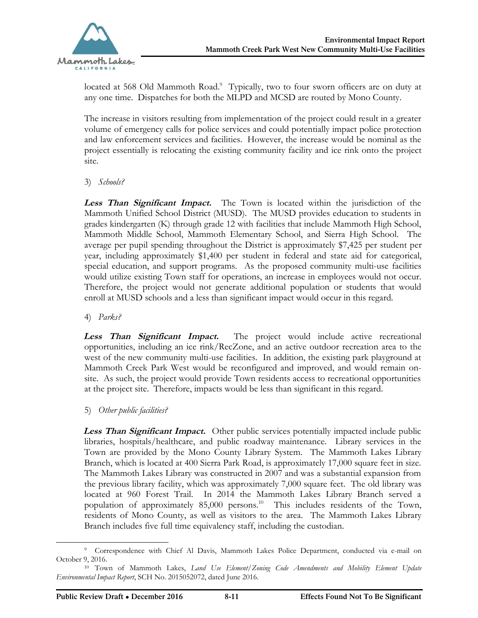located at 568 Old Mammoth Road.<sup>9</sup> Typically, two to four sworn officers are on duty at any one time. Dispatches for both the MLPD and MCSD are routed by Mono County.

The increase in visitors resulting from implementation of the project could result in a greater volume of emergency calls for police services and could potentially impact police protection and law enforcement services and facilities. However, the increase would be nominal as the project essentially is relocating the existing community facility and ice rink onto the project site.

3) *Schools?*

**Less Than Significant Impact.** The Town is located within the jurisdiction of the Mammoth Unified School District (MUSD). The MUSD provides education to students in grades kindergarten (K) through grade 12 with facilities that include Mammoth High School, Mammoth Middle School, Mammoth Elementary School, and Sierra High School. The average per pupil spending throughout the District is approximately \$7,425 per student per year, including approximately \$1,400 per student in federal and state aid for categorical, special education, and support programs. As the proposed community multi-use facilities would utilize existing Town staff for operations, an increase in employees would not occur. Therefore, the project would not generate additional population or students that would enroll at MUSD schools and a less than significant impact would occur in this regard.

4) *Parks?*

**Less Than Significant Impact.** The project would include active recreational opportunities, including an ice rink/RecZone, and an active outdoor recreation area to the west of the new community multi-use facilities. In addition, the existing park playground at Mammoth Creek Park West would be reconfigured and improved, and would remain onsite. As such, the project would provide Town residents access to recreational opportunities at the project site. Therefore, impacts would be less than significant in this regard.

5) *Other public facilities?*

**Less Than Significant Impact.** Other public services potentially impacted include public libraries, hospitals/healthcare, and public roadway maintenance. Library services in the Town are provided by the Mono County Library System. The Mammoth Lakes Library Branch, which is located at 400 Sierra Park Road, is approximately 17,000 square feet in size. The Mammoth Lakes Library was constructed in 2007 and was a substantial expansion from the previous library facility, which was approximately 7,000 square feet. The old library was located at 960 Forest Trail. In 2014 the Mammoth Lakes Library Branch served a population of approximately 85,000 persons.<sup>10</sup> This includes residents of the Town, residents of Mono County, as well as visitors to the area. The Mammoth Lakes Library Branch includes five full time equivalency staff, including the custodian.

<sup>-</sup><sup>9</sup> Correspondence with Chief Al Davis, Mammoth Lakes Police Department, conducted via e-mail on October 9, 2016.

<sup>10</sup> Town of Mammoth Lakes, *Land Use Element/Zoning Code Amendments and Mobility Element Update Environmental Impact Report*, SCH No. 2015052072, dated June 2016.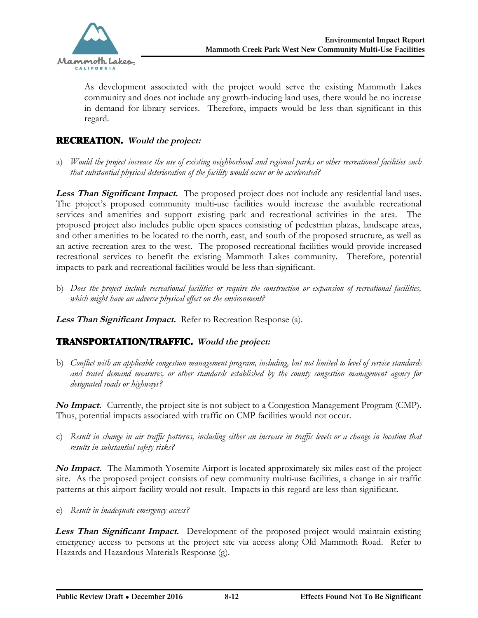

As development associated with the project would serve the existing Mammoth Lakes community and does not include any growth-inducing land uses, there would be no increase in demand for library services. Therefore, impacts would be less than significant in this regard.

# RECREATION. **Would the project:**

a) *Would the project increase the use of existing neighborhood and regional parks or other recreational facilities such that substantial physical deterioration of the facility would occur or be accelerated?*

**Less Than Significant Impact.** The proposed project does not include any residential land uses. The project's proposed community multi-use facilities would increase the available recreational services and amenities and support existing park and recreational activities in the area. The proposed project also includes public open spaces consisting of pedestrian plazas, landscape areas, and other amenities to be located to the north, east, and south of the proposed structure, as well as an active recreation area to the west. The proposed recreational facilities would provide increased recreational services to benefit the existing Mammoth Lakes community. Therefore, potential impacts to park and recreational facilities would be less than significant.

b) *Does the project include recreational facilities or require the construction or expansion of recreational facilities, which might have an adverse physical effect on the environment?*

**Less Than Significant Impact.** Refer to Recreation Response (a).

## TRANSPORTATION/TRAFFIC. **Would the project:**

b) *Conflict with an applicable congestion management program, including, but not limited to level of service standards and travel demand measures, or other standards established by the county congestion management agency for designated roads or highways?*

**No Impact.** Currently, the project site is not subject to a Congestion Management Program (CMP). Thus, potential impacts associated with traffic on CMP facilities would not occur.

c) *Result in change in air traffic patterns, including either an increase in traffic levels or a change in location that results in substantial safety risks?*

**No Impact.** The Mammoth Yosemite Airport is located approximately six miles east of the project site. As the proposed project consists of new community multi-use facilities, a change in air traffic patterns at this airport facility would not result. Impacts in this regard are less than significant.

e) *Result in inadequate emergency access?*

**Less Than Significant Impact.** Development of the proposed project would maintain existing emergency access to persons at the project site via access along Old Mammoth Road. Refer to Hazards and Hazardous Materials Response (g).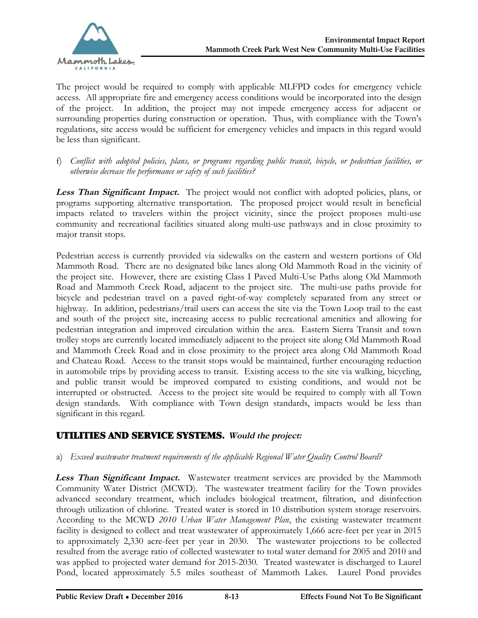The project would be required to comply with applicable MLFPD codes for emergency vehicle access. All appropriate fire and emergency access conditions would be incorporated into the design of the project. In addition, the project may not impede emergency access for adjacent or surrounding properties during construction or operation. Thus, with compliance with the Town's regulations, site access would be sufficient for emergency vehicles and impacts in this regard would be less than significant.

f) *Conflict with adopted policies, plans, or programs regarding public transit, bicycle, or pedestrian facilities, or otherwise decrease the performance or safety of such facilities?*

**Less Than Significant Impact.** The project would not conflict with adopted policies, plans, or programs supporting alternative transportation. The proposed project would result in beneficial impacts related to travelers within the project vicinity, since the project proposes multi-use community and recreational facilities situated along multi-use pathways and in close proximity to major transit stops.

Pedestrian access is currently provided via sidewalks on the eastern and western portions of Old Mammoth Road. There are no designated bike lanes along Old Mammoth Road in the vicinity of the project site. However, there are existing Class I Paved Multi-Use Paths along Old Mammoth Road and Mammoth Creek Road, adjacent to the project site. The multi-use paths provide for bicycle and pedestrian travel on a paved right-of-way completely separated from any street or highway. In addition, pedestrians/trail users can access the site via the Town Loop trail to the east and south of the project site, increasing access to public recreational amenities and allowing for pedestrian integration and improved circulation within the area. Eastern Sierra Transit and town trolley stops are currently located immediately adjacent to the project site along Old Mammoth Road and Mammoth Creek Road and in close proximity to the project area along Old Mammoth Road and Chateau Road. Access to the transit stops would be maintained, further encouraging reduction in automobile trips by providing access to transit. Existing access to the site via walking, bicycling, and public transit would be improved compared to existing conditions, and would not be interrupted or obstructed. Access to the project site would be required to comply with all Town design standards. With compliance with Town design standards, impacts would be less than significant in this regard.

# UTILITIES AND SERVICE SYSTEMS. **Would the project:**

## a) *Exceed wastewater treatment requirements of the applicable Regional Water Quality Control Board?*

Less Than Significant Impact. Wastewater treatment services are provided by the Mammoth Community Water District (MCWD). The wastewater treatment facility for the Town provides advanced secondary treatment, which includes biological treatment, filtration, and disinfection through utilization of chlorine. Treated water is stored in 10 distribution system storage reservoirs. According to the MCWD *2010 Urban Water Management Plan*, the existing wastewater treatment facility is designed to collect and treat wastewater of approximately 1,666 acre-feet per year in 2015 to approximately 2,330 acre-feet per year in 2030. The wastewater projections to be collected resulted from the average ratio of collected wastewater to total water demand for 2005 and 2010 and was applied to projected water demand for 2015-2030. Treated wastewater is discharged to Laurel Pond, located approximately 5.5 miles southeast of Mammoth Lakes. Laurel Pond provides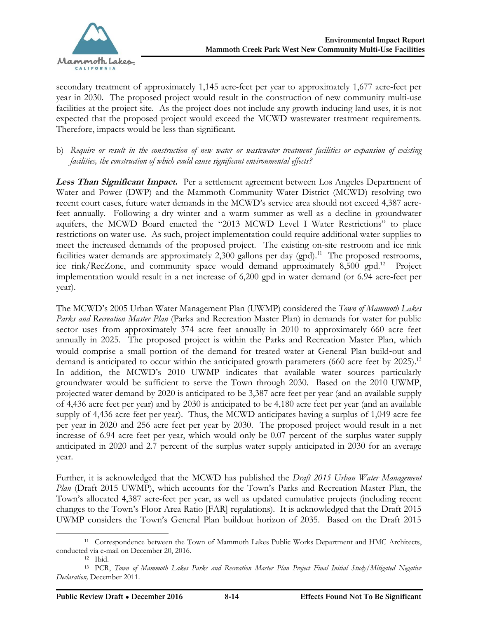secondary treatment of approximately 1,145 acre-feet per year to approximately 1,677 acre-feet per year in 2030. The proposed project would result in the construction of new community multi-use facilities at the project site. As the project does not include any growth-inducing land uses, it is not expected that the proposed project would exceed the MCWD wastewater treatment requirements. Therefore, impacts would be less than significant.

b) *Require or result in the construction of new water or wastewater treatment facilities or expansion of existing facilities, the construction of which could cause significant environmental effects?*

**Less Than Significant Impact.** Per a settlement agreement between Los Angeles Department of Water and Power (DWP) and the Mammoth Community Water District (MCWD) resolving two recent court cases, future water demands in the MCWD's service area should not exceed 4,387 acrefeet annually. Following a dry winter and a warm summer as well as a decline in groundwater aquifers, the MCWD Board enacted the "2013 MCWD Level I Water Restrictions" to place restrictions on water use. As such, project implementation could require additional water supplies to meet the increased demands of the proposed project. The existing on-site restroom and ice rink facilities water demands are approximately  $2,300$  gallons per day (gpd).<sup>11</sup> The proposed restrooms, ice rink/RecZone, and community space would demand approximately 8,500 gpd.<sup>12</sup> Project implementation would result in a net increase of 6,200 gpd in water demand (or 6.94 acre-feet per year).

The MCWD's 2005 Urban Water Management Plan (UWMP) considered the *Town of Mammoth Lakes Parks and Recreation Master Plan* (Parks and Recreation Master Plan) in demands for water for public sector uses from approximately 374 acre feet annually in 2010 to approximately 660 acre feet annually in 2025. The proposed project is within the Parks and Recreation Master Plan, which would comprise a small portion of the demand for treated water at General Plan build-out and demand is anticipated to occur within the anticipated growth parameters (660 acre feet by 2025).<sup>13</sup> In addition, the MCWD's 2010 UWMP indicates that available water sources particularly groundwater would be sufficient to serve the Town through 2030. Based on the 2010 UWMP, projected water demand by 2020 is anticipated to be 3,387 acre feet per year (and an available supply of 4,436 acre feet per year) and by 2030 is anticipated to be 4,180 acre feet per year (and an available supply of 4,436 acre feet per year). Thus, the MCWD anticipates having a surplus of 1,049 acre fee per year in 2020 and 256 acre feet per year by 2030. The proposed project would result in a net increase of 6.94 acre feet per year, which would only be 0.07 percent of the surplus water supply anticipated in 2020 and 2.7 percent of the surplus water supply anticipated in 2030 for an average year.

Further, it is acknowledged that the MCWD has published the *Draft 2015 Urban Water Management Plan* (Draft 2015 UWMP), which accounts for the Town's Parks and Recreation Master Plan, the Town's allocated 4,387 acre-feet per year, as well as updated cumulative projects (including recent changes to the Town's Floor Area Ratio [FAR] regulations). It is acknowledged that the Draft 2015 UWMP considers the Town's General Plan buildout horizon of 2035. Based on the Draft 2015

 $\overline{a}$ <sup>11</sup> Correspondence between the Town of Mammoth Lakes Public Works Department and HMC Architects, conducted via e-mail on December 20, 2016.

<sup>12</sup> Ibid.

<sup>13</sup> PCR, *Town of Mammoth Lakes Parks and Recreation Master Plan Project Final Initial Study/Mitigated Negative Declaration,* December 2011.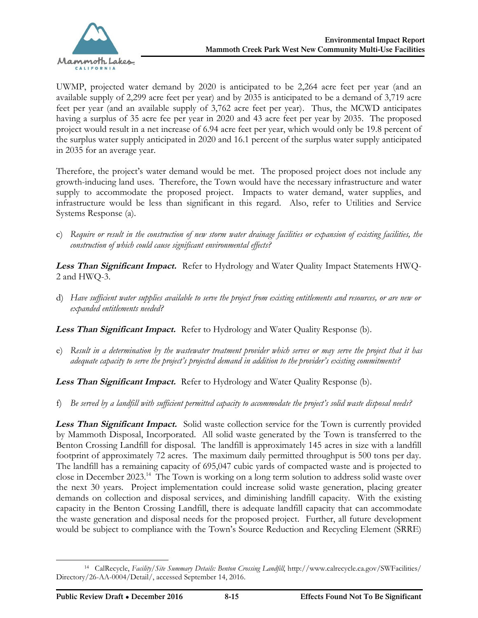

UWMP, projected water demand by 2020 is anticipated to be 2,264 acre feet per year (and an available supply of 2,299 acre feet per year) and by 2035 is anticipated to be a demand of 3,719 acre feet per year (and an available supply of 3,762 acre feet per year). Thus, the MCWD anticipates having a surplus of 35 acre fee per year in 2020 and 43 acre feet per year by 2035. The proposed project would result in a net increase of 6.94 acre feet per year, which would only be 19.8 percent of the surplus water supply anticipated in 2020 and 16.1 percent of the surplus water supply anticipated in 2035 for an average year.

Therefore, the project's water demand would be met. The proposed project does not include any growth-inducing land uses. Therefore, the Town would have the necessary infrastructure and water supply to accommodate the proposed project. Impacts to water demand, water supplies, and infrastructure would be less than significant in this regard. Also, refer to Utilities and Service Systems Response (a).

c) *Require or result in the construction of new storm water drainage facilities or expansion of existing facilities, the construction of which could cause significant environmental effects?*

**Less Than Significant Impact.** Refer to Hydrology and Water Quality Impact Statements HWQ-2 and HWQ-3.

d) *Have sufficient water supplies available to serve the project from existing entitlements and resources, or are new or expanded entitlements needed?*

**Less Than Significant Impact.** Refer to Hydrology and Water Quality Response (b).

e) *Result in a determination by the wastewater treatment provider which serves or may serve the project that it has adequate capacity to serve the project's projected demand in addition to the provider's existing commitments?*

Less Than Significant Impact. Refer to Hydrology and Water Quality Response (b).

f) *Be served by a landfill with sufficient permitted capacity to accommodate the project's solid waste disposal needs?*

**Less Than Significant Impact.** Solid waste collection service for the Town is currently provided by Mammoth Disposal, Incorporated. All solid waste generated by the Town is transferred to the Benton Crossing Landfill for disposal. The landfill is approximately 145 acres in size with a landfill footprint of approximately 72 acres. The maximum daily permitted throughput is 500 tons per day. The landfill has a remaining capacity of 695,047 cubic yards of compacted waste and is projected to close in December 2023.<sup>14</sup> The Town is working on a long term solution to address solid waste over the next 30 years. Project implementation could increase solid waste generation, placing greater demands on collection and disposal services, and diminishing landfill capacity. With the existing capacity in the Benton Crossing Landfill, there is adequate landfill capacity that can accommodate the waste generation and disposal needs for the proposed project. Further, all future development would be subject to compliance with the Town's Source Reduction and Recycling Element (SRRE)

<sup>14</sup> CalRecycle, *Facility/Site Summary Details: Benton Crossing Landfill*, [http://www.calrecycle.ca.gov/SWFacilities/](http://www.calrecycle.ca.gov/SWFacilities/ ) Directory/26-AA-0004/Detail/, accessed September 14, 2016.